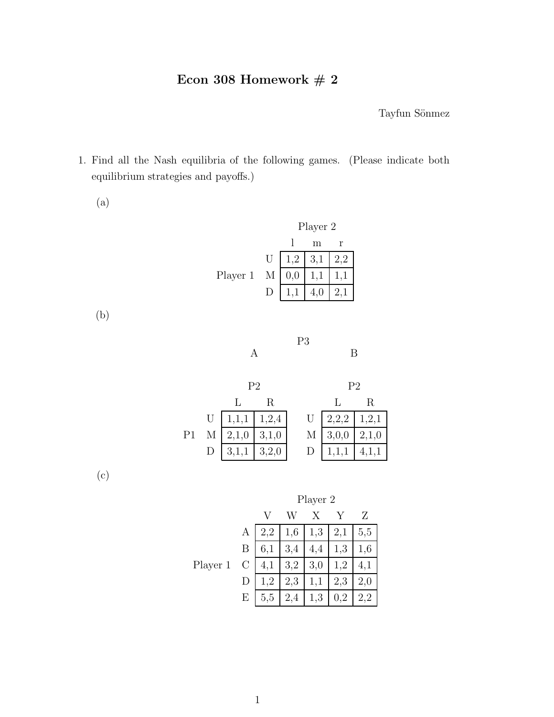## Econ 308 Homework  $\#$  2

Tayfun Sönmez

1. Find all the Nash equilibria of the following games. (Please indicate both equilibrium strategies and payoffs.)

(a)

|          |        | Player 2 |                |     |  |
|----------|--------|----------|----------------|-----|--|
|          |        |          | m              |     |  |
|          | U      |          | $1,2 \mid 3,1$ | 2,2 |  |
| Player 1 | M      | $_{0,0}$ |                |     |  |
|          | $\Box$ |          |                |     |  |

(b)

|   | P <sub>3</sub> |   |
|---|----------------|---|
| А |                | R |

|    | P2                                |              | P2                |                                   |  |
|----|-----------------------------------|--------------|-------------------|-----------------------------------|--|
|    |                                   | $\mathbf{R}$ |                   |                                   |  |
|    | U $1,1,1$ $1,2,4$                 |              |                   | U $\boxed{2,2,2 \mid 1,2,1}$      |  |
| P1 | M $\boxed{2,1,0}$ $\boxed{3,1,0}$ |              | M $3,0,0$ $2,1,0$ |                                   |  |
|    | D $\vert 3,1,1 \vert 3,2,0 \vert$ |              |                   | D $\boxed{1,1,1}$ $\boxed{4,1,1}$ |  |

(c)

|          |              | Player 2 |     |          |     |     |
|----------|--------------|----------|-----|----------|-----|-----|
|          |              |          |     |          |     | Z   |
|          | A            | 2,2      | 1,6 | 1,3      | 2,1 | 5,5 |
|          | Β            | 6,1      | 3,4 | 4,4      | 1,3 | 1,6 |
| Player 1 | $\mathcal C$ | 4,1      | 3,2 | 3,0      | 1,2 | 4,1 |
|          | D            | 1,2      | 2,3 | 1,1      | 2,3 | 2,0 |
|          | Ε            | 5,5      | 2,  | $_{1,3}$ |     |     |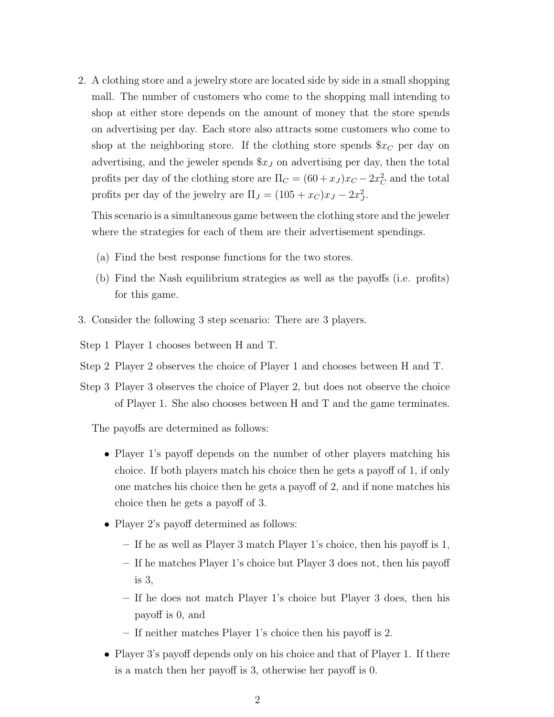2. A clothing store and a jewelry store are located side by side in a small shopping mall. The number of customers who come to the shopping mall intending to shop at either store depends on the amount of money that the store spends on advertising per day. Each store also attracts some customers who come to shop at the neighboring store. If the clothing store spends  $x_c$  per day on advertising, and the jeweler spends \$*x<sup>J</sup>* on advertising per day, then the total profits per day of the clothing store are  $\Pi_C = (60 + x_J)x_C - 2x_C^2$  and the total profits per day of the jewelry are  $\Pi_J = (105 + x_C)x_J - 2x_J^2$ .

This scenario is a simultaneous game between the clothing store and the jeweler where the strategies for each of them are their advertisement spendings.

- (a) Find the best response functions for the two stores.
- (b) Find the Nash equilibrium strategies as well as the payoffs (i.e. profits) for this game.
- 3. Consider the following 3 step scenario: There are 3 players.
- Step 1 Player 1 chooses between H and T.
- Step 2 Player 2 observes the choice of Player 1 and chooses between H and T.
- Step 3 Player 3 observes the choice of Player 2, but does not observe the choice of Player 1. She also chooses between H and T and the game terminates.

The payoffs are determined as follows:

- Player 1's payoff depends on the number of other players matching his choice. If both players match his choice then he gets a payoff of 1, if only one matches his choice then he gets a payoff of 2, and if none matches his choice then he gets a payoff of 3.
- *•* Player 2's payoff determined as follows:
	- **–** If he as well as Player 3 match Player 1's choice, then his payoff is 1,
	- **–** If he matches Player 1's choice but Player 3 does not, then his payoff is 3,
	- **–** If he does not match Player 1's choice but Player 3 does, then his payoff is 0, and
	- **–** If neither matches Player 1's choice then his payoff is 2.
- *•* Player 3's payoff depends only on his choice and that of Player 1. If there is a match then her payoff is 3, otherwise her payoff is 0.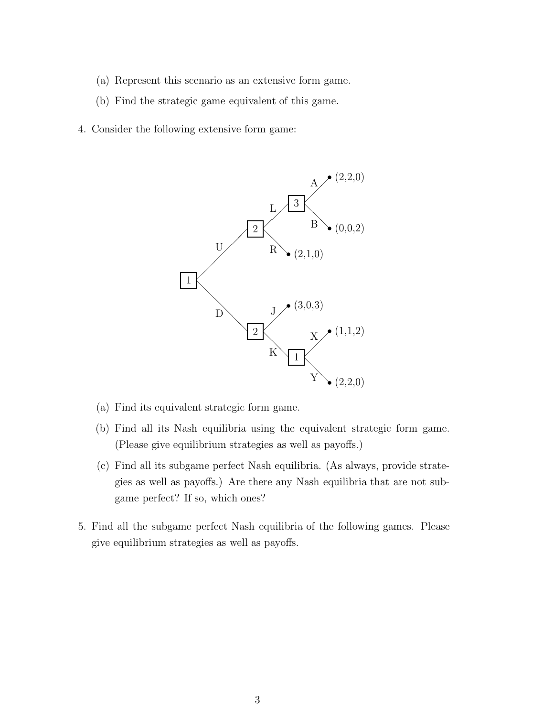- (a) Represent this scenario as an extensive form game.
- (b) Find the strategic game equivalent of this game.
- 4. Consider the following extensive form game:



- (a) Find its equivalent strategic form game.
- (b) Find all its Nash equilibria using the equivalent strategic form game. (Please give equilibrium strategies as well as payoffs.)
- (c) Find all its subgame perfect Nash equilibria. (As always, provide strategies as well as payoffs.) Are there any Nash equilibria that are not subgame perfect? If so, which ones?
- 5. Find all the subgame perfect Nash equilibria of the following games. Please give equilibrium strategies as well as payoffs.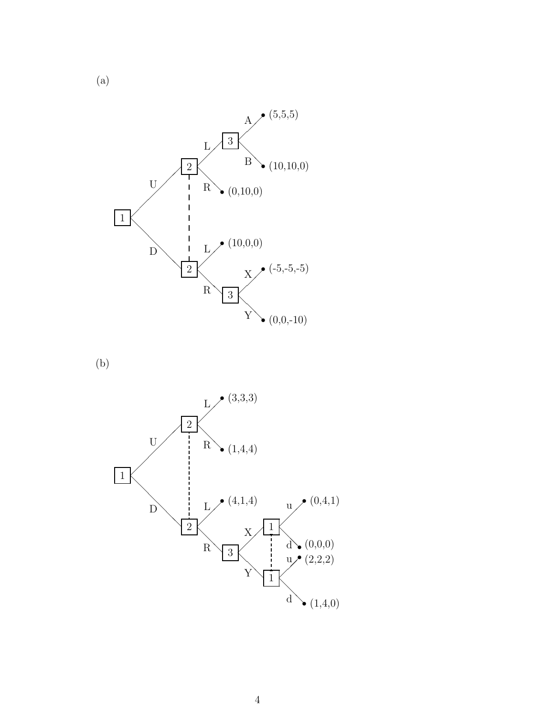

(b)



(a)